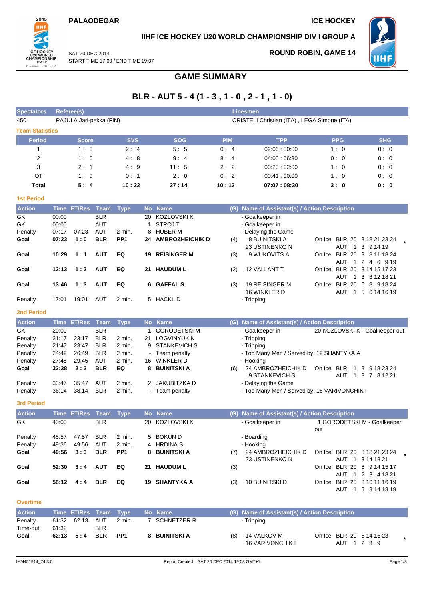On Ice BLR 20 6 8 9 18 24 AUT 1 5 6 14 16 19



### **IIHF ICE HOCKEY U20 WORLD CHAMPIONSHIP DIV I GROUP A**

SAT 20 DEC 2014 START TIME 17:00 / END TIME 19:07 **ROUND ROBIN, GAME 14**



### **GAME SUMMARY**

## **BLR - AUT 5 - 4 (1 - 3 , 1 - 0 , 2 - 1 , 1 - 0)**

| <b>Spectators</b>      |             | <b>Referee(s)</b> |                         |                 |           |                        |            | <b>Linesmen</b>                             |                         |                                   |
|------------------------|-------------|-------------------|-------------------------|-----------------|-----------|------------------------|------------|---------------------------------------------|-------------------------|-----------------------------------|
| 450                    |             |                   | PAJULA Jari-pekka (FIN) |                 |           |                        |            | CRISTELI Christian (ITA), LEGA Simone (ITA) |                         |                                   |
| <b>Team Statistics</b> |             |                   |                         |                 |           |                        |            |                                             |                         |                                   |
|                        |             |                   |                         |                 |           |                        |            |                                             |                         |                                   |
| <b>Period</b>          |             | <b>Score</b>      |                         | <b>SVS</b>      |           | <b>SOG</b>             | <b>PIM</b> | <b>TPP</b>                                  | <b>PPG</b>              | <b>SHG</b>                        |
| 1                      |             | 1:3               |                         | 2:4             |           | 5:5                    | 0:4        | 02:06:00:00                                 | 1:0                     | 0:0                               |
| 2                      |             | 1:0               |                         | 4:8             |           | 9:4                    | 8:4        | 04:00:06:30                                 | 0:0                     | 0:0                               |
| 3                      |             | 2:1               |                         | 4:9             |           | 11:5                   | 2:2        | 00:20:02:00                                 | 1:0                     | 0:0                               |
| OT                     |             | 1:0               |                         | 0:1             |           | 2:0                    | 0:2        | 00:41:00:00                                 | 1:0                     | 0:0                               |
| <b>Total</b>           |             | 5:4               |                         | 10:22           |           | 27:14                  | 10:12      | 07:07:08:30                                 | 3:0                     | 0: 0                              |
| <b>1st Period</b>      |             |                   |                         |                 |           |                        |            |                                             |                         |                                   |
| <b>Action</b>          | <b>Time</b> | <b>ET/Res</b>     | <b>Team</b>             | <b>Type</b>     | <b>No</b> | <b>Name</b>            | (G)        | Name of Assistant(s) / Action Description   |                         |                                   |
| GK                     | 00:00       |                   | <b>BLR</b>              |                 | 20        | <b>KOZLOVSKI K</b>     |            | - Goalkeeper in                             |                         |                                   |
| GK                     | 00:00       |                   | <b>AUT</b>              |                 |           | <b>STROJ T</b>         |            | - Goalkeeper in                             |                         |                                   |
| Penalty                | 07:17       | 07:23             | <b>AUT</b>              | $2$ min.        | 8         | <b>HUBER M</b>         |            | - Delaying the Game                         |                         |                                   |
| Goal                   | 07:23       | 1:0               | <b>BLR</b>              | PP <sub>1</sub> | 24        | <b>AMBROZHEICHIK D</b> | (4)        | 8 BUINITSKI A                               |                         | On Ice BLR 20 8 18 21 23 24       |
|                        |             |                   |                         |                 |           |                        |            | 23 USTINENKO N                              | <b>AUT</b>              | 3<br>9 14 19<br>- 1               |
| Goal                   | 10:29       | 1:1               | <b>AUT</b>              | EQ              | 19        | <b>REISINGER M</b>     | (3)        | 9 WUKOVITS A                                | <b>BLR</b><br>On Ice    | 3<br>8 11 18 24<br>20             |
|                        |             |                   |                         |                 |           |                        |            |                                             | AUT                     | 2<br>6<br>9 1 9<br>4              |
| Goal                   | 12:13       | 1:2               | <b>AUT</b>              | EQ              | 21        | <b>HAUDUM L</b>        | (2)        | 12 VALLANT T                                | <b>BLR 20</b><br>On Ice | 3 14 15 17 23                     |
|                        |             |                   |                         |                 |           |                        |            |                                             | AUT                     | 3 8 1 2 1 8 2 1<br>$\overline{1}$ |

#### **2nd Period**

| <b>Action</b> |       | Time ET/Res Team |            | Type   |                | No Name             |     | (G) Name of Assistant(s) / Action Description |                                 |                   |   |               |  |
|---------------|-------|------------------|------------|--------|----------------|---------------------|-----|-----------------------------------------------|---------------------------------|-------------------|---|---------------|--|
| GK.           | 20:00 |                  | <b>BLR</b> |        |                | <b>GORODETSKI M</b> |     | - Goalkeeper in                               | 20 KOZLOVSKI K - Goalkeeper out |                   |   |               |  |
| Penalty       | 21:17 | 23:17            | <b>BLR</b> | 2 min. | 21             | LOGVINYUK N         |     | - Tripping                                    |                                 |                   |   |               |  |
| Penalty       | 21:47 | 23:47            | <b>BLR</b> | 2 min. |                | 9 STANKEVICH S      |     | - Tripping                                    |                                 |                   |   |               |  |
| Penalty       | 24:49 | 26:49            | <b>BLR</b> | 2 min. |                | - Team penalty      |     | - Too Many Men / Served by: 19 SHANTYKA A     |                                 |                   |   |               |  |
| Penalty       | 27:45 | 29:45            | AUT        | 2 min. | 16             | WINKLER D           |     | - Hooking                                     |                                 |                   |   |               |  |
| Goal          | 32:38 | 2:3              | <b>BLR</b> | EQ     |                | 8 BUINITSKI A       | (6) | 24 AMBROZHEICHIK D<br>9 STANKEVICH S          | On Ice                          | <b>BLR</b><br>AUT | 8 | 9 18 23 24    |  |
|               | 33:47 | 35:47            | AUT        | 2 min. |                | 2 JAKUBITZKA D      |     | - Delaying the Game                           |                                 |                   |   | 1 3 7 8 12 21 |  |
| Penalty       |       |                  |            |        |                |                     |     |                                               |                                 |                   |   |               |  |
| Penalty       | 36:14 | 38:14            | <b>BLR</b> | 2 min. | $\blacksquare$ | Team penalty        |     | - Too Many Men / Served by: 16 VARIVONCHIK I  |                                 |                   |   |               |  |

16 WINKLER D

**Goal 13:46 1 : 3 AUT EQ 6 GAFFAL S** (3) 19 REISINGER M

Penalty 17:01 19:01 AUT 2 min. 5 HACKL D - Tripping

**3rd Period**

| <b>Action</b> |       | Time ET/Res Team |            | Type            |     | No Name       |     | (G) Name of Assistant(s) / Action Description |     |                             |
|---------------|-------|------------------|------------|-----------------|-----|---------------|-----|-----------------------------------------------|-----|-----------------------------|
| GK            | 40:00 |                  | <b>BLR</b> |                 | 20. | KOZLOVSKI K   |     | - Goalkeeper in                               |     | 1 GORODETSKI M - Goalkeeper |
|               |       |                  |            |                 |     |               |     |                                               | out |                             |
| Penalty       | 45:57 | 47:57            | <b>BLR</b> | 2 min.          |     | 5 BOKUN D     |     | - Boarding                                    |     |                             |
| Penalty       | 49:36 | 49:56            | <b>AUT</b> | 2 min.          |     | 4 HRDINA S    |     | - Hooking                                     |     |                             |
| Goal          | 49:56 | 3:3              | <b>BLR</b> | PP <sub>1</sub> |     | 8 BUINITSKI A | (7) | 24 AMBROZHEICHIK D                            |     | On Ice BLR 20 8 18 21 23 24 |
|               |       |                  |            |                 |     |               |     | 23 USTINENKO N                                |     | AUT<br>1 3 14 18 21         |
| Goal          | 52:30 | 3:4              | <b>AUT</b> | EQ              |     | 21 HAUDUM L   | (3) |                                               |     | On Ice BLR 20 6 9 14 15 17  |
|               |       |                  |            |                 |     |               |     |                                               |     | AUT 1 2 3 4 18 21           |
| Goal          | 56:12 | 4:4              | <b>BLR</b> | EQ              |     | 19 SHANTYKA A | (3) | 10 BUINITSKI D                                |     | On Ice BLR 20 3 10 11 16 19 |
|               |       |                  |            |                 |     |               |     |                                               |     | 5 8 14 18 19<br>AUT         |

#### **Overtime**

| <b>Action</b>       |       | Time ET/Res Team Type |            |        | No Name       |     | (G) Name of Assistant(s) / Action Description |                                            |  |
|---------------------|-------|-----------------------|------------|--------|---------------|-----|-----------------------------------------------|--------------------------------------------|--|
| Penalty<br>Time-out | 61:32 | 61:32 62:13 AUT       | <b>BLR</b> | 2 min. | SCHNETZER R   |     | - Tripping                                    |                                            |  |
| Goal                |       | $62:13$ $5:4$         | BLR PP1    |        | 8 BUINITSKI A | (8) | 14 VALKOV M<br><b>16 VARIVONCHIK I</b>        | On Ice BLR 20 8 14 16 23<br>1 2 3 9<br>AUT |  |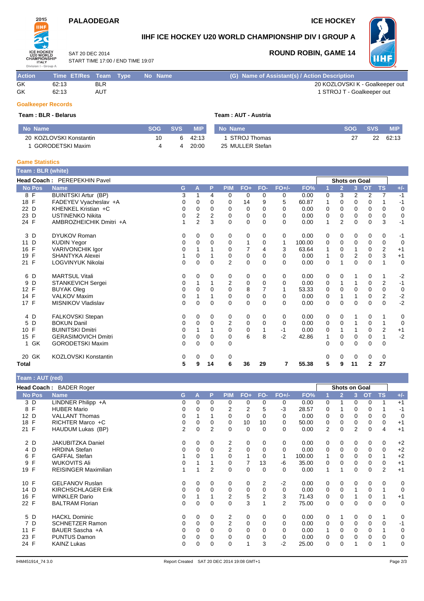## **PALAODEGAR ICE HOCKEY**



## **IIHF ICE HOCKEY U20 WORLD CHAMPIONSHIP DIV I GROUP A**

SAT 20 DEC 2014 START TIME 17:00 / END TIME 19:07

### **ROUND ROBIN, GAME 14**



| <b>Action</b> | Time ET/Res Team Type |            | No Name | (G) Name of Assistant(s) / Action Description |
|---------------|-----------------------|------------|---------|-----------------------------------------------|
| GK            | 62:13                 | <b>BLR</b> |         | 20 KOZLOVSKI K - Goalkeeper out               |
| GK            | 62:13                 | <b>AUT</b> |         | 1 STROJ T - Goalkeeper out                    |

#### **Goalkeeper Records**

### **Team : BLR - Belarus Team : AUT - Austria**

| No Name                 | SOG SVS |   | <b>MIP</b> | No Name          | <b>SOG</b> | <b>SVS</b> | <b>MIP</b> |
|-------------------------|---------|---|------------|------------------|------------|------------|------------|
| 20 KOZLOVSKI Konstantin | 10      | 6 | 42:13      | 1 STROJ Thomas   |            | 22         | 62:13      |
| GORODETSKI Maxim        |         | 4 | 20:00      | 25 MULLER Stefan |            |            |            |

#### **Game Statistics**

| <b>Team</b> : BLR (white) |                              |              |                         |             |                |             |                |          |        |   |                |                      |              |                         |              |
|---------------------------|------------------------------|--------------|-------------------------|-------------|----------------|-------------|----------------|----------|--------|---|----------------|----------------------|--------------|-------------------------|--------------|
|                           | Head Coach: PEREPEKHIN Pavel |              |                         |             |                |             |                |          |        |   |                | <b>Shots on Goal</b> |              |                         |              |
| <b>No Pos</b>             | <b>Name</b>                  | G            | A                       | P           | <b>PIM</b>     | $FO+$       | FO-            | $FO+/-$  | FO%    | 1 | $\overline{2}$ | 3 <sup>1</sup>       | <b>OT</b>    | <b>TS</b>               | $+/-$        |
| 8 F                       | <b>BUINITSKI Artur (BP)</b>  | 3            | 1                       | 4           | 0              | 0           | 0              | 0        | 0.00   | 0 | 3              | 2                    | 2            | 7                       | $-1$         |
| 18 F                      | FADEYEV Vyacheslav +A        | 0            | 0                       | $\Omega$    | 0              | 14          | 9              | 5        | 60.87  | 1 | $\Omega$       | 0                    | 0            |                         | $-1$         |
| 22 D                      | KHENKEL Kristian +C          | 0            | 0                       | 0           | 0              | 0           | $\Omega$       | 0        | 0.00   | 0 | $\Omega$       | 0                    | 0            | 0                       | $\mathbf 0$  |
| 23 D                      | <b>USTINENKO Nikita</b>      | $\Omega$     | $\overline{\mathbf{c}}$ | 2           | 0              | 0           | $\Omega$       | $\Omega$ | 0.00   | 0 | $\Omega$       | 0                    | 0            | $\mathbf 0$             | $\mathbf 0$  |
| 24 F                      | AMBROZHEICHIK Dmitri +A      |              | $\overline{2}$          | 3           | $\Omega$       | $\Omega$    | $\Omega$       | $\Omega$ | 0.00   | 1 | $\overline{2}$ | $\Omega$             | $\Omega$     | 3                       | $-1$         |
| 3 D                       | <b>DYUKOV Roman</b>          | 0            | 0                       | 0           | 0              | 0           | 0              | 0        | 0.00   | 0 | $\mathbf 0$    | 0                    | 0            | 0                       | $-1$         |
| 11 D                      | <b>KUDIN Yegor</b>           | 0            | $\Omega$                | $\Omega$    | 0              | 1           | $\mathbf 0$    | 1        | 100.00 | 0 | 0              | $\Omega$             | 0            | 0                       | $\mathbf 0$  |
| 16 F                      | <b>VARIVONCHIK Igor</b>      | 0            |                         |             | 0              | 7           | 4              | 3        | 63.64  | 1 | 0              |                      | 0            | $\overline{\mathbf{c}}$ | $+1$         |
| 19<br>F                   | <b>SHANTYKA Alexei</b>       |              | $\Omega$                |             | 0              | 0           | $\Omega$       | $\Omega$ | 0.00   | 1 | $\Omega$       | 2                    | $\mathbf 0$  | 3                       | $+1$         |
| $\mathsf{F}$<br>21        | <b>LOGVINYUK Nikolai</b>     | 0            | 0                       | 0           | $\overline{2}$ | 0           | $\Omega$       | $\Omega$ | 0.00   | 0 | 1              | 0                    | 0            | 1                       | $\mathbf 0$  |
| 6 D                       | <b>MARTSUL Vitali</b>        | 0            | 0                       | 0           | 0              | 0           | 0              | 0        | 0.00   | 0 | 0              |                      | 0            | 1                       | $-2$         |
| 9<br>D                    | <b>STANKEVICH Sergei</b>     | 0            |                         |             | 2              | 0           | $\Omega$       | $\Omega$ | 0.00   | 0 | 1              | 1                    | 0            | $\overline{\mathbf{c}}$ | $-1$         |
| F<br>12                   | <b>BUYAK Oleg</b>            | 0            | 0                       | $\Omega$    | 0              | 8           | $\overline{7}$ | 1        | 53.33  | 0 | $\mathbf 0$    | $\mathbf 0$          | $\pmb{0}$    | $\mathbf 0$             | $\mathbf 0$  |
| 14 F                      | <b>VALKOV Maxim</b>          | 0            |                         |             | 0              | 0           | $\Omega$       | $\Omega$ | 0.00   | 0 | 1              |                      | 0            | $\sqrt{2}$              | $-2$<br>$-2$ |
| 17 F                      | <b>MISNIKOV Vladislav</b>    | $\mathbf{0}$ | 0                       | $\mathbf 0$ | $\Omega$       | $\mathbf 0$ | $\Omega$       | $\Omega$ | 0.00   | 0 | $\mathbf 0$    | $\Omega$             | $\mathbf 0$  | $\mathbf 0$             |              |
| 4 D                       | FALKOVSKI Stepan             | 0            | 0                       | 0           | 0              | 0           | 0              | 0        | 0.00   | 0 | 0              |                      | 0            | 1                       | 0            |
| D<br>5                    | <b>BOKUN Danil</b>           | 0            | $\Omega$                | $\Omega$    | 2              | 0           | $\Omega$       | $\Omega$ | 0.00   | 0 | $\mathbf 0$    | 1                    | 0            | 1                       | 0            |
| F<br>10 <sup>1</sup>      | <b>BUINITSKI Dmitri</b>      | 0            |                         |             | 0              | 0           |                | $-1$     | 0.00   | 0 |                |                      | 0            | $\overline{2}$          | $+1$         |
| 15 F                      | <b>GERASIMOVICH Dmitri</b>   | 0            | $\Omega$                | $\Omega$    | $\Omega$       | 6           | 8              | $-2$     | 42.86  | 1 | $\Omega$       | $\Omega$             | 0            | $\mathbf{1}$            | $-2$         |
| 1 GK                      | <b>GORODETSKI Maxim</b>      | 0            | 0                       | $\mathbf 0$ | 0              |             |                |          |        | 0 | $\mathbf 0$    | 0                    | 0            | 0                       |              |
| 20 GK                     | <b>KOZLOVSKI Konstantin</b>  | 0            | 0                       | 0           | 0              |             |                |          |        | 0 | 0              | 0                    | 0            | 0                       |              |
| Total                     |                              | 5            | 9                       | 14          | 6              | 36          | 29             | 7        | 55.38  | 5 | 9              | 11                   | $\mathbf{2}$ | 27                      |              |

### **Team : AUT (red)**

| $I$ calii . AUT (Icu) |                             |                |          |          |                |             |             |                |        |          |                      |          |          |                |             |
|-----------------------|-----------------------------|----------------|----------|----------|----------------|-------------|-------------|----------------|--------|----------|----------------------|----------|----------|----------------|-------------|
|                       | Head Coach: BADER Roger     |                |          |          |                |             |             |                |        |          | <b>Shots on Goal</b> |          |          |                |             |
| <b>No Pos</b>         | <b>Name</b>                 | G              | A        | P        | <b>PIM</b>     | $FO+$       | FO-         | $FO+/-$        | FO%    |          | $\overline{2}$       | 3        | OT       | <b>TS</b>      | $+/-$       |
| 3 D                   | LINDNER Philipp +A          | 0              | $\Omega$ | 0        | 0              | 0           | 0           | 0              | 0.00   | 0        |                      | 0        | 0        | 1              | $+1$        |
| $\mathsf{F}$<br>8     | <b>HUBER Mario</b>          | 0              | 0        |          | 2              | 2           | 5           | -3             | 28.57  | 0        |                      | 0        | 0        |                | -1          |
| 12 D                  | <b>VALLANT Thomas</b>       | 0              |          |          | $\Omega$       | $\mathbf 0$ | 0           | 0              | 0.00   | 0        | 0                    | 0        | 0        | 0              | 0           |
| 18 F                  | RICHTER Marco +C            | 0              | 0        | 0        | 0              | 10          | 10          | 0              | 50.00  | 0        | 0                    | 0        | 0        | 0              | $+1$        |
| 21 F                  | HAUDUM Lukas (BP)           | $\overline{2}$ | 0        | 2        | 0              | 0           | 0           | 0              | 0.00   | 2        | 0                    | 2        | 0        | 4              | $+1$        |
| 2 D                   | <b>JAKUBITZKA Daniel</b>    | 0              | 0        | 0        | 2              | 0           | 0           | 0              | 0.00   | 0        | 0                    | 0        | 0        | 0              | $+2$        |
| 4 D                   | <b>HRDINA Stefan</b>        | 0              | $\Omega$ | $\Omega$ | 2              | 0           | 0           | 0              | 0.00   | 0        | 0                    | $\Omega$ | 0        | 0              | $+2$        |
| $\mathsf{F}$<br>6     | <b>GAFFAL Stefan</b>        |                | 0        |          | $\Omega$       |             | 0           | 1              | 100.00 |          | 0                    | $\Omega$ | 0        | 1              | $+2$        |
| F<br>9                | <b>WUKOVITS Ali</b>         | 0              |          |          | 0              | 7           | 13          | -6             | 35.00  | 0        | 0                    | 0        | 0        | 0              | $+1$        |
| 19 F                  | <b>REISINGER Maximilian</b> |                |          | 2        | 0              | 0           | 0           | 0              | 0.00   | 1        |                      | 0        | 0        | $\overline{2}$ | $+1$        |
| 10 F                  | <b>GELFANOV Ruslan</b>      | 0              | 0        | 0        | 0              | 0           | 2           | $-2$           | 0.00   | 0        | 0                    | $\Omega$ | 0        | 0              | 0           |
| 14 D                  | <b>KIRCHSCHLAGER Erik</b>   | 0              | 0        | 0        | 0              | 0           | 0           | 0              | 0.00   | 0        | 0                    |          | 0        | 1              | 0           |
| 16 F                  | <b>WINKLER Dario</b>        | 0              |          |          | 2              | 5           | 2           | 3              | 71.43  | 0        | 0                    |          | 0        | 1              | $+1$        |
| 22 F                  | <b>BALTRAM Florian</b>      | 0              | 0        | $\Omega$ | $\mathbf 0$    | 3           |             | $\overline{2}$ | 75.00  | 0        | 0                    | $\Omega$ | 0        | 0              | $\mathbf 0$ |
| 5 D                   | <b>HACKL Dominic</b>        | 0              | $\Omega$ | 0        | 2              | 0           | $\mathbf 0$ | 0              | 0.00   | 0        |                      | 0        | 0        | 1              | 0           |
| 7 D                   | <b>SCHNETZER Ramon</b>      | 0              | 0        | $\Omega$ | $\overline{2}$ | 0           | 0           | 0              | 0.00   | 0        | 0                    | $\Omega$ | 0        | 0              | -1          |
| 11 F                  | BAUER Sascha +A             | 0              | $\Omega$ | $\Omega$ | $\Omega$       | $\Omega$    | 0           | 0              | 0.00   |          | 0                    | $\Omega$ | $\Omega$ | 1              | 0           |
| 23 F                  | <b>PUNTUS Damon</b>         | 0              | 0        | 0        | 0              | 0           | 0           | 0              | 0.00   | 0        | 0                    | 0        | 0        | 0              | 0           |
| 24 F                  | <b>KAINZ Lukas</b>          | 0              | 0        | $\Omega$ | $\Omega$       | 1           | 3           | -2             | 25.00  | $\Omega$ | 0                    |          | 0        | 1              | 0           |